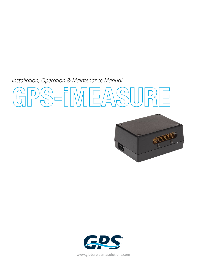*Installation, Operation & Maintenance Manual* 

# **GPS-iMEASURE**





**www.globalplasmasolutions.com**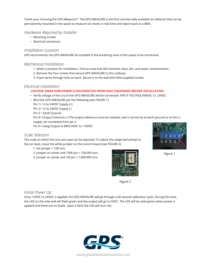Thank your choosing the GPS-iMeasure™. The GPS-iMEASURE is the first commercially available ion detector that can be permanently mounted in the space to measure ion levels in real time and report back to a BMS.

### *Hardware Required by Installer*

- Mounting screws
- Electrical connectors

### *Installation Location*

GPS recommends the GPS-iMEASURE be installed in the breathing zone of the space to be monitored.

### *Mechanical Installation*

- 1. Select a location for installation. Find an area that will minimize, dust, dirt, and water contamination.
- 2. Remove the four screws that secure GPS-iMEASURE to the subbase.
- 3. Insert wires through hole on back. Secure it to the wall with field supplied screws.

### *Electrical Installation*

### **CAUTION: MAKE SURE POWER IS DISCONNCTED FROM HVAC EQUIPMENT BEFORE INSTALLATION**

- Verify voltage of the circuit the GPS-iMEASURE will be connected: INPUT VOLTAGE RANGE 12- 24VDC
- Wire the GPS-iMEASURE per the following (see FIGURE 1):

Pin 1= 12 to 24VDC Supply (+)

Pin 2= 12 to 24VDC Supply (-)

Pin 3 = Earth Ground

Pin 4= Output Common (-) The output reference must be isolated, and it cannot be at earth ground or at the (-) supply rail connected from pin 2

Pin 5= nalog Output to BMS 0VDC to +10VDC

### *Scale Selection*

The scale on which the ions are read can be adjusted. To adjust the range (sensitivity) to the ion level, move the white jumper on the control board (see FIGURE 2).

- 1. No Jumper = 10K ions
- 2. Jumper on center and 100K pin = 100,000 ions
- 3. Jumper on center and 1M pin = 1,000,000 ions



Figure 2



Once 12VDC to 24VDC is applied, the GPS-iMEASURE will go through a 60 second calibration cycle. During this time, the LED on the side wall will flash green and the output will go to 0VDC. The LED will be solid green when power is applied and there are no faults. Upon a fault the LED will turn red.





Figure 1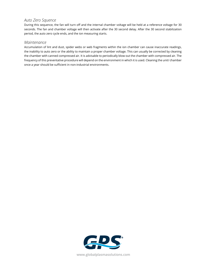# *Auto Zero Squence*

During this sequence, the fan will turn off and the internal chamber voltage will be held at a reference voltage for 30 seconds. The fan and chamber voltage will then activate after the 30 second delay. After the 30 second stabilization period, the auto zero cycle ends, and the ion measuring starts.

## *Maintenance*

Accumulation of lint and dust, spider webs or web fragments within the ion chamber can cause inaccurate readings, the inability to auto zero or the ability to maintain a proper chamber voltage. This can usually be corrected by cleaning the chamber with canned compressed air. It is advisable to periodically blow out the chamber with compressed air. The frequency of this preventative procedure will depend on the environment in which it is used. Cleaning the unit/ chamber once a year should be sufficient in non-industrial environments.



**www.globalplasmasolutions.com**